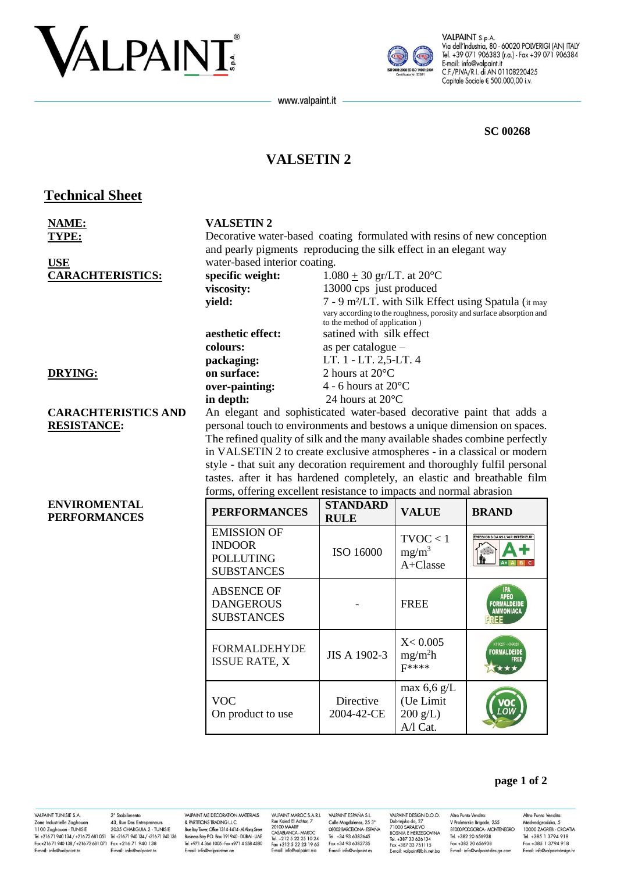# VALPAINT



VALPAINT S.p.A. Via dell'Industria, 80 - 60020 POLVERIGI (AN) ITALY Tel. +39 071 906383 (r.a.) - Fax +39 071 906384 E-mail: info@valpaint.it C.F./P.IVA/R.I. di AN 01108220425 Capitale Sociale € 500.000,00 i.v.

#### **SC 00268**

## **VALSETIN2**

www.valpaint.it

## **Technical Sheet**

| <b>NAME:</b>                               | <b>VALSETIN2</b>                                                                                                                                  |                                                                         |                                                   |                                                                      |
|--------------------------------------------|---------------------------------------------------------------------------------------------------------------------------------------------------|-------------------------------------------------------------------------|---------------------------------------------------|----------------------------------------------------------------------|
| TYPE:                                      |                                                                                                                                                   | Decorative water-based coating formulated with resins of new conception |                                                   |                                                                      |
|                                            | and pearly pigments reproducing the silk effect in an elegant way                                                                                 |                                                                         |                                                   |                                                                      |
| <b>USE</b>                                 | water-based interior coating.                                                                                                                     |                                                                         |                                                   |                                                                      |
| <b>CARACHTERISTICS:</b>                    | specific weight:                                                                                                                                  | $1.080 \pm 30$ gr/LT. at 20 <sup>o</sup> C                              |                                                   |                                                                      |
|                                            | viscosity:                                                                                                                                        | 13000 cps just produced                                                 |                                                   |                                                                      |
|                                            | yield:                                                                                                                                            |                                                                         |                                                   | 7 - 9 m <sup>2</sup> /LT. with Silk Effect using Spatula (it may     |
|                                            |                                                                                                                                                   |                                                                         |                                                   | vary according to the roughness, porosity and surface absorption and |
|                                            | aesthetic effect:                                                                                                                                 | to the method of application)<br>satined with silk effect               |                                                   |                                                                      |
|                                            | colours:                                                                                                                                          | as per catalogue -                                                      |                                                   |                                                                      |
|                                            | packaging:                                                                                                                                        | LT. 1 - LT. 2,5-LT. 4                                                   |                                                   |                                                                      |
| <b>DRYING:</b>                             | on surface:                                                                                                                                       | 2 hours at 20°C                                                         |                                                   |                                                                      |
|                                            | over-painting:                                                                                                                                    | 4 - 6 hours at $20^{\circ}$ C                                           |                                                   |                                                                      |
|                                            | in depth:                                                                                                                                         | 24 hours at 20°C                                                        |                                                   |                                                                      |
| <b>CARACHTERISTICS AND</b>                 |                                                                                                                                                   |                                                                         |                                                   |                                                                      |
| <b>RESISTANCE:</b>                         | An elegant and sophisticated water-based decorative paint that adds a<br>personal touch to environments and bestows a unique dimension on spaces. |                                                                         |                                                   |                                                                      |
|                                            | The refined quality of silk and the many available shades combine perfectly                                                                       |                                                                         |                                                   |                                                                      |
|                                            | in VALSETIN 2 to create exclusive atmospheres - in a classical or modern                                                                          |                                                                         |                                                   |                                                                      |
|                                            | style - that suit any decoration requirement and thoroughly fulfil personal                                                                       |                                                                         |                                                   |                                                                      |
|                                            | tastes. after it has hardened completely, an elastic and breathable film                                                                          |                                                                         |                                                   |                                                                      |
|                                            | forms, offering excellent resistance to impacts and normal abrasion                                                                               |                                                                         |                                                   |                                                                      |
| <b>ENVIROMENTAL</b><br><b>PERFORMANCES</b> | <b>PERFORMANCES</b>                                                                                                                               | <b>STANDARD</b><br><b>RULE</b>                                          | <b>VALUE</b>                                      | <b>BRAND</b>                                                         |
|                                            | <b>EMISSION OF</b><br><b>INDOOR</b><br><b>POLLUTING</b><br><b>SUBSTANCES</b>                                                                      | ISO 16000                                                               | TVOC < 1<br>$mg/m^3$<br>A+Classe                  | MISSIONS DANS L'AIR INTÉRIEUR'                                       |
|                                            |                                                                                                                                                   |                                                                         |                                                   |                                                                      |
|                                            | <b>ABSENCE OF</b><br><b>DANGEROUS</b><br><b>SUBSTANCES</b>                                                                                        |                                                                         | <b>FREE</b>                                       | APEO<br><b>FORMALDEIDE</b><br><b>AMMONIACA</b>                       |
|                                            | <b>FORMALDEHYDE</b><br><b>ISSUE RATE, X</b>                                                                                                       | JIS A 1902-3                                                            | X < 0.005<br>mg/m <sup>2</sup> h<br>$F****$       | <b>ORMALDEIDE</b>                                                    |
|                                            | <b>VOC</b><br>On product to use                                                                                                                   | Directive<br>2004-42-CE                                                 | max $6,6$ g/L<br>(Ue Limit<br>200 g/L<br>A/l Cat. |                                                                      |

## VALPAINT TUNISIE S.A. VALPAINT IUNISIE S.A. 2<sup>2</sup> Stabilimento<br>
2018 Industrielle Zaghouan 43, Rue Des Entrepreneurs<br>
1100 Zaghouan - TUNISIE 2035 CHARGUIA 2 - TUNISIE<br>
Tel. +21671 940 134 / +21672 681 051 - Tel. +21671 940 134<br>
Fax +21671 940 1 E-mail: info@valpaint.tn

2° Stabilimento E-mail: info@valpaint to

VALPAINT ME DECORATION MATERIALS & PARTITIONS TRADING L.L.C.<br>& PARTITIONS TRADING L.L.C.<br>Blue Bay Tower, Office 1314-1414-Al Abraj Street Business Boy PO Box 191940 - DUBAI - UAF Tel. +971 4 366 1005 - Fax +971 4 558 4380 E-mail: info@valpaintme.ae

VALPAINT MAROC S.A.R.L VALPAINT MAROC S.A.R.L<br>Rue Kaied El Achtar, 7<br>20100 MAARIF<br>CASABLANCA - MAROC<br>Tel. +212 5 22 25 10 24<br>Fax +212 5 22 23 19 65<br>E-mail: info@valpaint.ma

VALPAINT ESPAÑA S.L. Calle Magdalenes, 25 3°<br>08002 BARCELONA - ESPAÑA Tel +34 93 6382645 Fax +34 93 6382735 E-mail: info@valpaint.es

VALPAINT DESIGN D.O.O. VALPAINT DESIGN D.O.O.<br>Dobrinjka do, 27<br>71000 SARAJEVO<br>BOSNIA E HERZEGOVINA<br>Tel. +387 33 626134<br>Fax +387 33 761115 E-mail: valpaint@bih.net.ba

Altro Punto Vendita: V Proleterske Brigade, 255<br>81000 PODGORICA - MONTENEGRO Tel +382 20 656938 Fax +382 20 656938 E-mail: info@valpaint-design.com

Altro Punto Vendita: Medvedgradska, 5<br>Nedvedgradska, 5<br>10000 ZAGREB - CROATIA Tel +385 1 3794 918 Fax +385 1 3794 918 E-mail: info@valpaint-design.hr

page 1 of 2